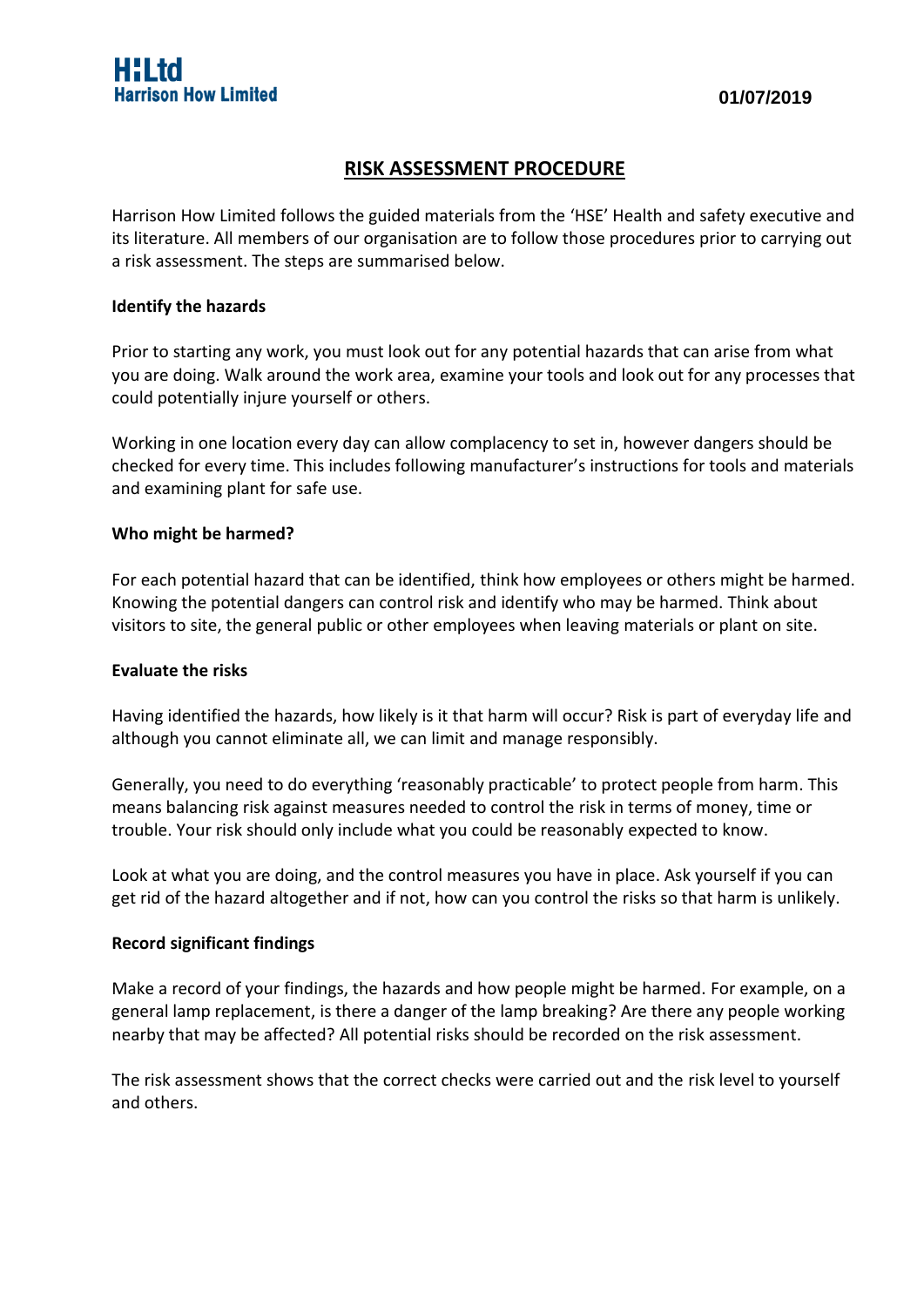# **RISK ASSESSMENT PROCEDURE**

Harrison How Limited follows the guided materials from the 'HSE' Health and safety executive and its literature. All members of our organisation are to follow those procedures prior to carrying out a risk assessment. The steps are summarised below.

## **Identify the hazards**

Prior to starting any work, you must look out for any potential hazards that can arise from what you are doing. Walk around the work area, examine your tools and look out for any processes that could potentially injure yourself or others.

Working in one location every day can allow complacency to set in, however dangers should be checked for every time. This includes following manufacturer's instructions for tools and materials and examining plant for safe use.

## **Who might be harmed?**

For each potential hazard that can be identified, think how employees or others might be harmed. Knowing the potential dangers can control risk and identify who may be harmed. Think about visitors to site, the general public or other employees when leaving materials or plant on site.

#### **Evaluate the risks**

Having identified the hazards, how likely is it that harm will occur? Risk is part of everyday life and although you cannot eliminate all, we can limit and manage responsibly.

Generally, you need to do everything 'reasonably practicable' to protect people from harm. This means balancing risk against measures needed to control the risk in terms of money, time or trouble. Your risk should only include what you could be reasonably expected to know.

Look at what you are doing, and the control measures you have in place. Ask yourself if you can get rid of the hazard altogether and if not, how can you control the risks so that harm is unlikely.

## **Record significant findings**

Make a record of your findings, the hazards and how people might be harmed. For example, on a general lamp replacement, is there a danger of the lamp breaking? Are there any people working nearby that may be affected? All potential risks should be recorded on the risk assessment.

The risk assessment shows that the correct checks were carried out and the risk level to yourself and others.